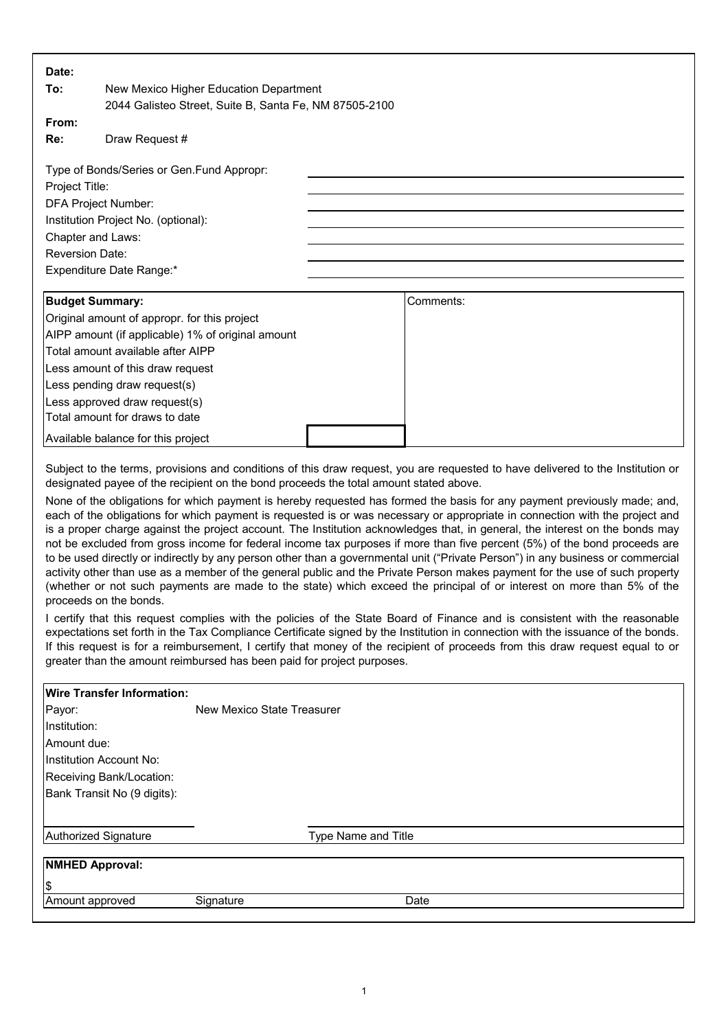| Date:                                                                                                                                                                                                                                                                                                                                                                                                                                                                                                                                                                                                                                                                                                                                                                                                                                                                                                                                                                                                                                                                                                                                                                                                                                                                                                                                                                                                                                                                                                                                                                                                                                              |                                                        |  |           |  |
|----------------------------------------------------------------------------------------------------------------------------------------------------------------------------------------------------------------------------------------------------------------------------------------------------------------------------------------------------------------------------------------------------------------------------------------------------------------------------------------------------------------------------------------------------------------------------------------------------------------------------------------------------------------------------------------------------------------------------------------------------------------------------------------------------------------------------------------------------------------------------------------------------------------------------------------------------------------------------------------------------------------------------------------------------------------------------------------------------------------------------------------------------------------------------------------------------------------------------------------------------------------------------------------------------------------------------------------------------------------------------------------------------------------------------------------------------------------------------------------------------------------------------------------------------------------------------------------------------------------------------------------------------|--------------------------------------------------------|--|-----------|--|
| To:                                                                                                                                                                                                                                                                                                                                                                                                                                                                                                                                                                                                                                                                                                                                                                                                                                                                                                                                                                                                                                                                                                                                                                                                                                                                                                                                                                                                                                                                                                                                                                                                                                                | New Mexico Higher Education Department                 |  |           |  |
|                                                                                                                                                                                                                                                                                                                                                                                                                                                                                                                                                                                                                                                                                                                                                                                                                                                                                                                                                                                                                                                                                                                                                                                                                                                                                                                                                                                                                                                                                                                                                                                                                                                    | 2044 Galisteo Street, Suite B, Santa Fe, NM 87505-2100 |  |           |  |
| From:                                                                                                                                                                                                                                                                                                                                                                                                                                                                                                                                                                                                                                                                                                                                                                                                                                                                                                                                                                                                                                                                                                                                                                                                                                                                                                                                                                                                                                                                                                                                                                                                                                              |                                                        |  |           |  |
| Re:                                                                                                                                                                                                                                                                                                                                                                                                                                                                                                                                                                                                                                                                                                                                                                                                                                                                                                                                                                                                                                                                                                                                                                                                                                                                                                                                                                                                                                                                                                                                                                                                                                                | Draw Request #                                         |  |           |  |
|                                                                                                                                                                                                                                                                                                                                                                                                                                                                                                                                                                                                                                                                                                                                                                                                                                                                                                                                                                                                                                                                                                                                                                                                                                                                                                                                                                                                                                                                                                                                                                                                                                                    |                                                        |  |           |  |
| Type of Bonds/Series or Gen.Fund Appropr:                                                                                                                                                                                                                                                                                                                                                                                                                                                                                                                                                                                                                                                                                                                                                                                                                                                                                                                                                                                                                                                                                                                                                                                                                                                                                                                                                                                                                                                                                                                                                                                                          |                                                        |  |           |  |
| Project Title:                                                                                                                                                                                                                                                                                                                                                                                                                                                                                                                                                                                                                                                                                                                                                                                                                                                                                                                                                                                                                                                                                                                                                                                                                                                                                                                                                                                                                                                                                                                                                                                                                                     |                                                        |  |           |  |
| DFA Project Number:                                                                                                                                                                                                                                                                                                                                                                                                                                                                                                                                                                                                                                                                                                                                                                                                                                                                                                                                                                                                                                                                                                                                                                                                                                                                                                                                                                                                                                                                                                                                                                                                                                |                                                        |  |           |  |
| Institution Project No. (optional):                                                                                                                                                                                                                                                                                                                                                                                                                                                                                                                                                                                                                                                                                                                                                                                                                                                                                                                                                                                                                                                                                                                                                                                                                                                                                                                                                                                                                                                                                                                                                                                                                |                                                        |  |           |  |
| Chapter and Laws:                                                                                                                                                                                                                                                                                                                                                                                                                                                                                                                                                                                                                                                                                                                                                                                                                                                                                                                                                                                                                                                                                                                                                                                                                                                                                                                                                                                                                                                                                                                                                                                                                                  |                                                        |  |           |  |
| <b>Reversion Date:</b>                                                                                                                                                                                                                                                                                                                                                                                                                                                                                                                                                                                                                                                                                                                                                                                                                                                                                                                                                                                                                                                                                                                                                                                                                                                                                                                                                                                                                                                                                                                                                                                                                             |                                                        |  |           |  |
| Expenditure Date Range:*                                                                                                                                                                                                                                                                                                                                                                                                                                                                                                                                                                                                                                                                                                                                                                                                                                                                                                                                                                                                                                                                                                                                                                                                                                                                                                                                                                                                                                                                                                                                                                                                                           |                                                        |  |           |  |
|                                                                                                                                                                                                                                                                                                                                                                                                                                                                                                                                                                                                                                                                                                                                                                                                                                                                                                                                                                                                                                                                                                                                                                                                                                                                                                                                                                                                                                                                                                                                                                                                                                                    |                                                        |  |           |  |
| <b>Budget Summary:</b>                                                                                                                                                                                                                                                                                                                                                                                                                                                                                                                                                                                                                                                                                                                                                                                                                                                                                                                                                                                                                                                                                                                                                                                                                                                                                                                                                                                                                                                                                                                                                                                                                             |                                                        |  | Comments: |  |
|                                                                                                                                                                                                                                                                                                                                                                                                                                                                                                                                                                                                                                                                                                                                                                                                                                                                                                                                                                                                                                                                                                                                                                                                                                                                                                                                                                                                                                                                                                                                                                                                                                                    | Original amount of appropr. for this project           |  |           |  |
| AIPP amount (if applicable) 1% of original amount                                                                                                                                                                                                                                                                                                                                                                                                                                                                                                                                                                                                                                                                                                                                                                                                                                                                                                                                                                                                                                                                                                                                                                                                                                                                                                                                                                                                                                                                                                                                                                                                  |                                                        |  |           |  |
| Total amount available after AIPP                                                                                                                                                                                                                                                                                                                                                                                                                                                                                                                                                                                                                                                                                                                                                                                                                                                                                                                                                                                                                                                                                                                                                                                                                                                                                                                                                                                                                                                                                                                                                                                                                  |                                                        |  |           |  |
| Less amount of this draw request                                                                                                                                                                                                                                                                                                                                                                                                                                                                                                                                                                                                                                                                                                                                                                                                                                                                                                                                                                                                                                                                                                                                                                                                                                                                                                                                                                                                                                                                                                                                                                                                                   |                                                        |  |           |  |
| Less pending draw request(s)                                                                                                                                                                                                                                                                                                                                                                                                                                                                                                                                                                                                                                                                                                                                                                                                                                                                                                                                                                                                                                                                                                                                                                                                                                                                                                                                                                                                                                                                                                                                                                                                                       |                                                        |  |           |  |
| Less approved draw request(s)                                                                                                                                                                                                                                                                                                                                                                                                                                                                                                                                                                                                                                                                                                                                                                                                                                                                                                                                                                                                                                                                                                                                                                                                                                                                                                                                                                                                                                                                                                                                                                                                                      |                                                        |  |           |  |
|                                                                                                                                                                                                                                                                                                                                                                                                                                                                                                                                                                                                                                                                                                                                                                                                                                                                                                                                                                                                                                                                                                                                                                                                                                                                                                                                                                                                                                                                                                                                                                                                                                                    | Total amount for draws to date                         |  |           |  |
|                                                                                                                                                                                                                                                                                                                                                                                                                                                                                                                                                                                                                                                                                                                                                                                                                                                                                                                                                                                                                                                                                                                                                                                                                                                                                                                                                                                                                                                                                                                                                                                                                                                    | Available balance for this project                     |  |           |  |
| Subject to the terms, provisions and conditions of this draw request, you are requested to have delivered to the Institution or<br>designated payee of the recipient on the bond proceeds the total amount stated above.<br>None of the obligations for which payment is hereby requested has formed the basis for any payment previously made; and,<br>each of the obligations for which payment is requested is or was necessary or appropriate in connection with the project and<br>is a proper charge against the project account. The Institution acknowledges that, in general, the interest on the bonds may<br>not be excluded from gross income for federal income tax purposes if more than five percent (5%) of the bond proceeds are<br>to be used directly or indirectly by any person other than a governmental unit ("Private Person") in any business or commercial<br>activity other than use as a member of the general public and the Private Person makes payment for the use of such property<br>(whether or not such payments are made to the state) which exceed the principal of or interest on more than 5% of the<br>proceeds on the bonds.<br>I certify that this request complies with the policies of the State Board of Finance and is consistent with the reasonable<br>expectations set forth in the Tax Compliance Certificate signed by the Institution in connection with the issuance of the bonds.<br>If this request is for a reimbursement, I certify that money of the recipient of proceeds from this draw request equal to or<br>greater than the amount reimbursed has been paid for project purposes. |                                                        |  |           |  |
| <b>Wire Transfer Information:</b>                                                                                                                                                                                                                                                                                                                                                                                                                                                                                                                                                                                                                                                                                                                                                                                                                                                                                                                                                                                                                                                                                                                                                                                                                                                                                                                                                                                                                                                                                                                                                                                                                  |                                                        |  |           |  |
| Payor:                                                                                                                                                                                                                                                                                                                                                                                                                                                                                                                                                                                                                                                                                                                                                                                                                                                                                                                                                                                                                                                                                                                                                                                                                                                                                                                                                                                                                                                                                                                                                                                                                                             | <b>New Mexico State Treasurer</b>                      |  |           |  |
| Institution:                                                                                                                                                                                                                                                                                                                                                                                                                                                                                                                                                                                                                                                                                                                                                                                                                                                                                                                                                                                                                                                                                                                                                                                                                                                                                                                                                                                                                                                                                                                                                                                                                                       |                                                        |  |           |  |
| Amount due:                                                                                                                                                                                                                                                                                                                                                                                                                                                                                                                                                                                                                                                                                                                                                                                                                                                                                                                                                                                                                                                                                                                                                                                                                                                                                                                                                                                                                                                                                                                                                                                                                                        |                                                        |  |           |  |
| Institution Account No:                                                                                                                                                                                                                                                                                                                                                                                                                                                                                                                                                                                                                                                                                                                                                                                                                                                                                                                                                                                                                                                                                                                                                                                                                                                                                                                                                                                                                                                                                                                                                                                                                            |                                                        |  |           |  |
| Receiving Bank/Location:                                                                                                                                                                                                                                                                                                                                                                                                                                                                                                                                                                                                                                                                                                                                                                                                                                                                                                                                                                                                                                                                                                                                                                                                                                                                                                                                                                                                                                                                                                                                                                                                                           |                                                        |  |           |  |
| Bank Transit No (9 digits):                                                                                                                                                                                                                                                                                                                                                                                                                                                                                                                                                                                                                                                                                                                                                                                                                                                                                                                                                                                                                                                                                                                                                                                                                                                                                                                                                                                                                                                                                                                                                                                                                        |                                                        |  |           |  |
|                                                                                                                                                                                                                                                                                                                                                                                                                                                                                                                                                                                                                                                                                                                                                                                                                                                                                                                                                                                                                                                                                                                                                                                                                                                                                                                                                                                                                                                                                                                                                                                                                                                    | <b>Authorized Signature</b><br>Type Name and Title     |  |           |  |
| <b>NMHED Approval:</b>                                                                                                                                                                                                                                                                                                                                                                                                                                                                                                                                                                                                                                                                                                                                                                                                                                                                                                                                                                                                                                                                                                                                                                                                                                                                                                                                                                                                                                                                                                                                                                                                                             |                                                        |  |           |  |
| \$                                                                                                                                                                                                                                                                                                                                                                                                                                                                                                                                                                                                                                                                                                                                                                                                                                                                                                                                                                                                                                                                                                                                                                                                                                                                                                                                                                                                                                                                                                                                                                                                                                                 |                                                        |  |           |  |
| Amount approved<br>Signature<br>Date                                                                                                                                                                                                                                                                                                                                                                                                                                                                                                                                                                                                                                                                                                                                                                                                                                                                                                                                                                                                                                                                                                                                                                                                                                                                                                                                                                                                                                                                                                                                                                                                               |                                                        |  |           |  |
|                                                                                                                                                                                                                                                                                                                                                                                                                                                                                                                                                                                                                                                                                                                                                                                                                                                                                                                                                                                                                                                                                                                                                                                                                                                                                                                                                                                                                                                                                                                                                                                                                                                    |                                                        |  |           |  |